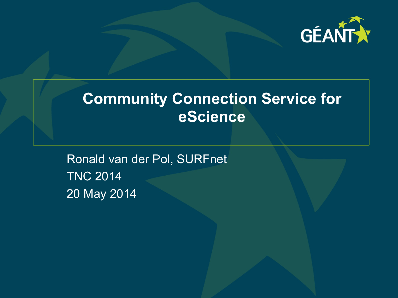

# **Community Connection Service for eScience**

Ronald van der Pol, SURFnet TNC 2014 20 May 2014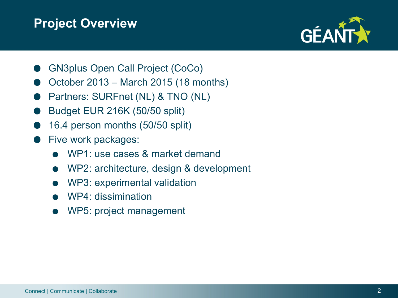#### **Project Overview**



- GN3plus Open Call Project (CoCo)
- October 2013 March 2015 (18 months)
- Partners: SURFnet (NL) & TNO (NL)
- Budget EUR 216K (50/50 split)
- 16.4 person months (50/50 split)
- Five work packages:
	- WP1: use cases & market demand
	- WP2: architecture, design & development
	- WP3: experimental validation
	- WP4: dissimination
	- WP5: project management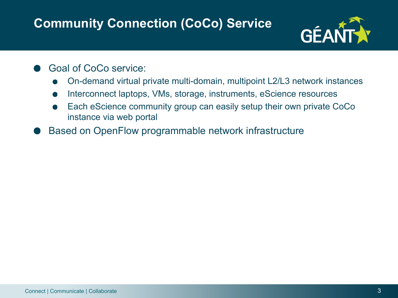## **Community Connection (CoCo) Service**



- Goal of CoCo service:
	- On-demand virtual private multi-domain, multipoint L2/L3 network instances
	- Interconnect laptops, VMs, storage, instruments, eScience resources
	- Each eScience community group can easily setup their own private CoCo instance via web portal
- Based on OpenFlow programmable network infrastructure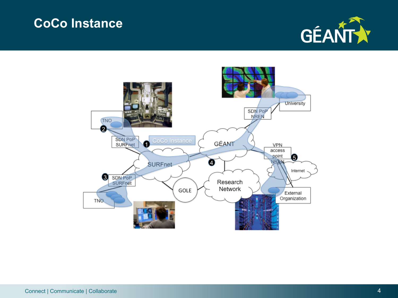#### **CoCo Instance**



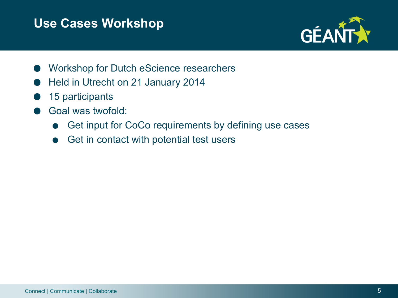#### **Use Cases Workshop**



- Workshop for Dutch eScience researchers
- Held in Utrecht on 21 January 2014
- 15 participants
- Goal was twofold:
	- Get input for CoCo requirements by defining use cases
	- Get in contact with potential test users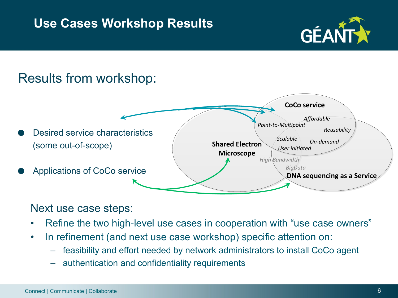#### **Use Cases Workshop Results**



## Results from workshop:



#### Next use case steps:

- Refine the two high-level use cases in cooperation with "use case owners"
- In refinement (and next use case workshop) specific attention on:
	- feasibility and effort needed by network administrators to install CoCo agent
	- authentication and confidentiality requirements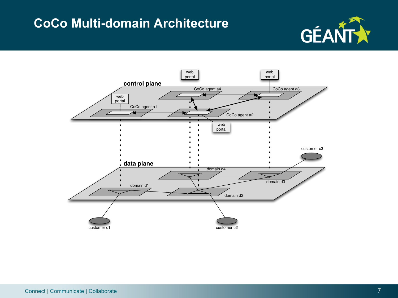#### **CoCo Multi-domain Architecture**



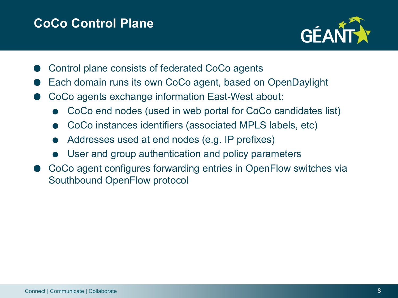#### **CoCo Control Plane**



- Control plane consists of federated CoCo agents
- Each domain runs its own CoCo agent, based on OpenDaylight
- CoCo agents exchange information East-West about:
	- CoCo end nodes (used in web portal for CoCo candidates list)
	- CoCo instances identifiers (associated MPLS labels, etc)
	- Addresses used at end nodes (e.g. IP prefixes)
	- User and group authentication and policy parameters
- CoCo agent configures forwarding entries in OpenFlow switches via Southbound OpenFlow protocol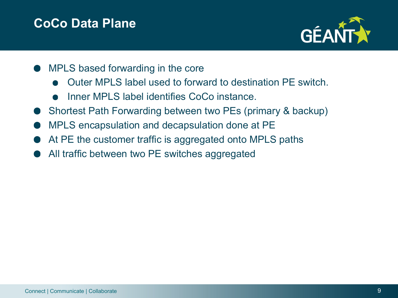#### **CoCo Data Plane**



- MPLS based forwarding in the core
	- Outer MPLS label used to forward to destination PE switch.
	- Inner MPLS label identifies CoCo instance.
- Shortest Path Forwarding between two PEs (primary & backup)
- MPLS encapsulation and decapsulation done at PE
- At PE the customer traffic is aggregated onto MPLS paths
- All traffic between two PE switches aggregated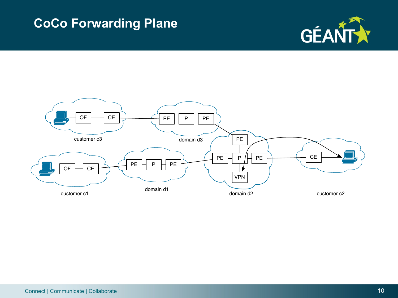#### **CoCo Forwarding Plane**



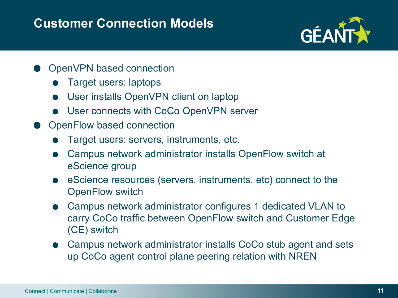#### **Customer Connection Models**



- OpenVPN based connection
	- Target users: laptops
	- User installs OpenVPN client on laptop
	- User connects with CoCo OpenVPN server
- **OpenFlow based connection** 
	- Target users: servers, instruments, etc.
	- Campus network administrator installs OpenFlow switch at eScience group
	- eScience resources (servers, instruments, etc) connect to the OpenFlow switch
	- Campus network administrator configures 1 dedicated VLAN to carry CoCo traffic between OpenFlow switch and Customer Edge (CE) switch
	- Campus network administrator installs CoCo stub agent and sets up CoCo agent control plane peering relation with NREN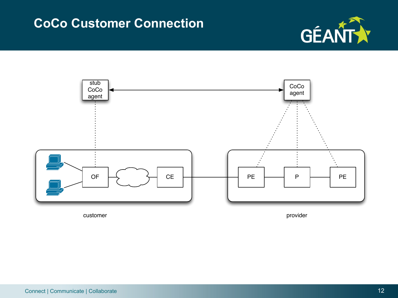#### **CoCo Customer Connection**





customer provider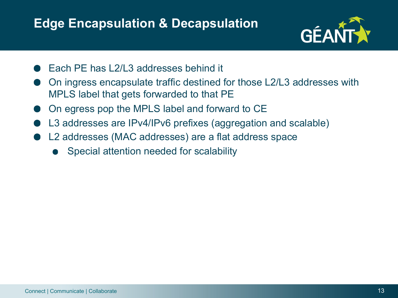#### **Edge Encapsulation & Decapsulation**



- Each PE has L2/L3 addresses behind it
- On ingress encapsulate traffic destined for those L2/L3 addresses with MPLS label that gets forwarded to that PE
- On egress pop the MPLS label and forward to CE
- L3 addresses are IPv4/IPv6 prefixes (aggregation and scalable)
- L2 addresses (MAC addresses) are a flat address space
	- Special attention needed for scalability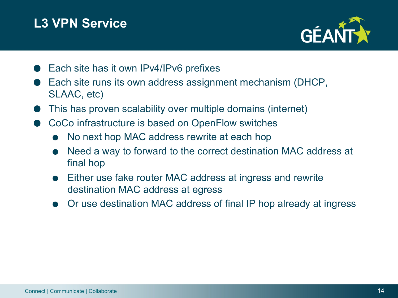## **L3 VPN Service**



- Each site has it own IPv4/IPv6 prefixes
- Each site runs its own address assignment mechanism (DHCP, SLAAC, etc)
- This has proven scalability over multiple domains (internet)
- CoCo infrastructure is based on OpenFlow switches
	- No next hop MAC address rewrite at each hop
	- Need a way to forward to the correct destination MAC address at final hop
	- Either use fake router MAC address at ingress and rewrite destination MAC address at egress
	- Or use destination MAC address of final IP hop already at ingress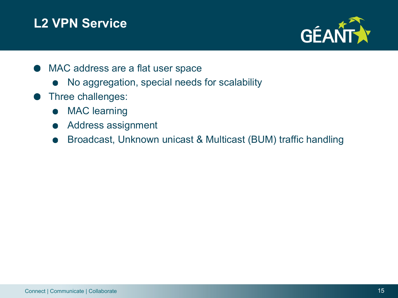## **L2 VPN Service**



- MAC address are a flat user space
	- No aggregation, special needs for scalability
- Three challenges:
	- MAC learning
	- Address assignment
	- Broadcast, Unknown unicast & Multicast (BUM) traffic handling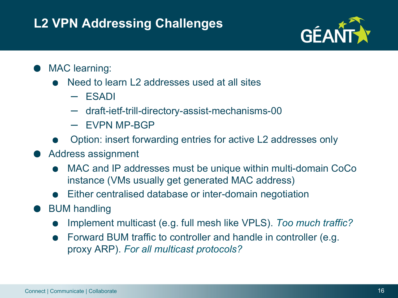## **L2 VPN Addressing Challenges**



#### MAC learning:

- Need to learn L2 addresses used at all sites
	- ESADI
	- draft-ietf-trill-directory-assist-mechanisms-00
	- EVPN MP-BGP
- Option: insert forwarding entries for active L2 addresses only
- Address assignment
	- MAC and IP addresses must be unique within multi-domain CoCo instance (VMs usually get generated MAC address)
	- Either centralised database or inter-domain negotiation
- BUM handling
	- Implement multicast (e.g. full mesh like VPLS). *Too much traffic?*
	- Forward BUM traffic to controller and handle in controller (e.g. proxy ARP). *For all multicast protocols?*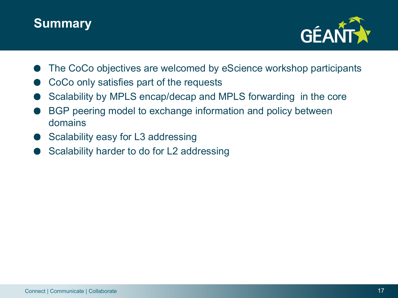



- The CoCo objectives are welcomed by eScience workshop participants
- CoCo only satisfies part of the requests
- Scalability by MPLS encap/decap and MPLS forwarding in the core
- BGP peering model to exchange information and policy between domains
- Scalability easy for L3 addressing
- Scalability harder to do for L2 addressing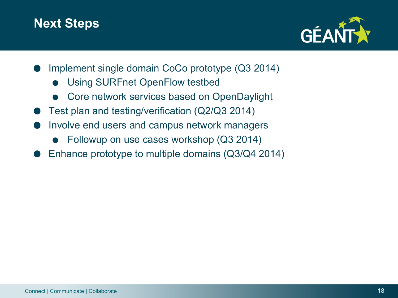#### **Next Steps**



- Implement single domain CoCo prototype (Q3 2014)
	- Using SURFnet OpenFlow testbed
	- Core network services based on OpenDaylight
- Test plan and testing/verification (Q2/Q3 2014)
- Involve end users and campus network managers
	- Followup on use cases workshop (Q3 2014)
- Enhance prototype to multiple domains (Q3/Q4 2014)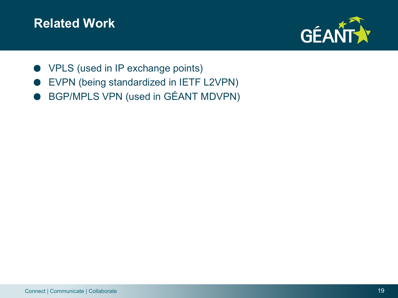#### **Related Work**



- **VPLS (used in IP exchange points)**
- EVPN (being standardized in IETF L2VPN)
- BGP/MPLS VPN (used in GÉANT MDVPN)